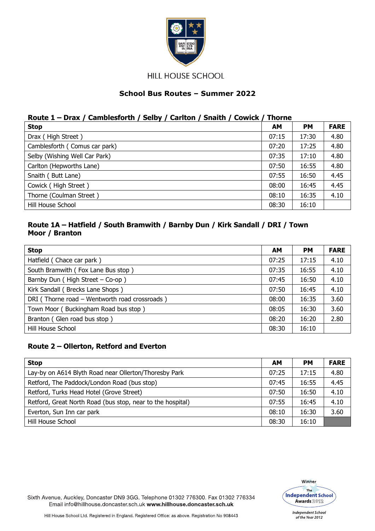

**HILL HOUSE SCHOOL** 

# **School Bus Routes – Summer 2022**

#### **Route 1 – Drax / Camblesforth / Selby / Carlton / Snaith / Cowick / Thorne**

| <b>Stop</b>                   | <b>AM</b> | <b>PM</b> | <b>FARE</b> |
|-------------------------------|-----------|-----------|-------------|
| Drax (High Street)            | 07:15     | 17:30     | 4.80        |
| Camblesforth (Comus car park) | 07:20     | 17:25     | 4.80        |
| Selby (Wishing Well Car Park) | 07:35     | 17:10     | 4.80        |
| Carlton (Hepworths Lane)      | 07:50     | 16:55     | 4.80        |
| Snaith (Butt Lane)            | 07:55     | 16:50     | 4.45        |
| Cowick (High Street)          | 08:00     | 16:45     | 4.45        |
| Thorne (Coulman Street)       | 08:10     | 16:35     | 4.10        |
| Hill House School             | 08:30     | 16:10     |             |

#### **Route 1A – Hatfield / South Bramwith / Barnby Dun / Kirk Sandall / DRI / Town Moor / Branton**

| <b>Stop</b>                                   | AM    | <b>PM</b> | <b>FARE</b> |
|-----------------------------------------------|-------|-----------|-------------|
| Hatfield (Chace car park)                     | 07:25 | 17:15     | 4.10        |
| South Bramwith (Fox Lane Bus stop)            | 07:35 | 16:55     | 4.10        |
| Barnby Dun (High Street $-$ Co-op)            | 07:45 | 16:50     | 4.10        |
| Kirk Sandall (Brecks Lane Shops)              | 07:50 | 16:45     | 4.10        |
| DRI (Thorne road - Wentworth road crossroads) | 08:00 | 16:35     | 3.60        |
| Town Moor (Buckingham Road bus stop)          | 08:05 | 16:30     | 3.60        |
| Branton (Glen road bus stop)                  | 08:20 | 16:20     | 2.80        |
| Hill House School                             | 08:30 | 16:10     |             |

#### **Route 2 – Ollerton, Retford and Everton**

| <b>Stop</b>                                                | AМ    | <b>PM</b> | <b>FARE</b> |
|------------------------------------------------------------|-------|-----------|-------------|
| Lay-by on A614 Blyth Road near Ollerton/Thoresby Park      | 07:25 | 17:15     | 4.80        |
| Retford, The Paddock/London Road (bus stop)                | 07:45 | 16:55     | 4.45        |
| Retford, Turks Head Hotel (Grove Street)                   | 07:50 | 16:50     | 4.10        |
| Retford, Great North Road (bus stop, near to the hospital) | 07:55 | 16:45     | 4.10        |
| Everton, Sun Inn car park                                  | 08:10 | 16:30     | 3.60        |
| Hill House School                                          | 08:30 | 16:10     |             |



Sixth Avenue, Auckley, Doncaster DN9 3GG. Telephone 01302 776300. Fax 01302 776334 Email info@hillhouse.doncaster.sch.uk www.hillhouse.doncaster.sch.uk

Hill House School Ltd. Registered in England. Registered Office: as above. Registration No 908443

**Independent School** of the Year 2012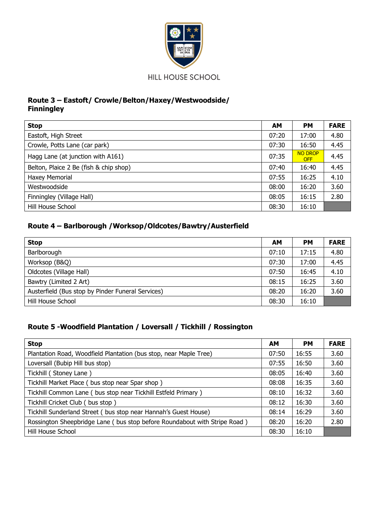

# **Route 3 – Eastoft/ Crowle/Belton/Haxey/Westwoodside/ Finningley**

| <b>Stop</b>                            | AM    | <b>PM</b>                    | <b>FARE</b> |
|----------------------------------------|-------|------------------------------|-------------|
| Eastoft, High Street                   | 07:20 | 17:00                        | 4.80        |
| Crowle, Potts Lane (car park)          | 07:30 | 16:50                        | 4.45        |
| Hagg Lane (at junction with A161)      | 07:35 | <b>NO DROP</b><br><b>OFF</b> | 4.45        |
| Belton, Plaice 2 Be (fish & chip shop) | 07:40 | 16:40                        | 4.45        |
| Haxey Memorial                         | 07:55 | 16:25                        | 4.10        |
| Westwoodside                           | 08:00 | 16:20                        | 3.60        |
| Finningley (Village Hall)              | 08:05 | 16:15                        | 2.80        |
| Hill House School                      | 08:30 | 16:10                        |             |

# **Route 4 – Barlborough /Worksop/Oldcotes/Bawtry/Austerfield**

| <b>Stop</b>                                       | AМ    | <b>PM</b> | <b>FARE</b> |
|---------------------------------------------------|-------|-----------|-------------|
| Barlborough                                       | 07:10 | 17:15     | 4.80        |
| Worksop (B&Q)                                     | 07:30 | 17:00     | 4.45        |
| Oldcotes (Village Hall)                           | 07:50 | 16:45     | 4.10        |
| Bawtry (Limited 2 Art)                            | 08:15 | 16:25     | 3.60        |
| Austerfield (Bus stop by Pinder Funeral Services) | 08:20 | 16:20     | 3.60        |
| Hill House School                                 | 08:30 | 16:10     |             |

# **Route 5 -Woodfield Plantation / Loversall / Tickhill / Rossington**

| <b>Stop</b>                                                               | <b>AM</b> | <b>PM</b> | <b>FARE</b> |
|---------------------------------------------------------------------------|-----------|-----------|-------------|
| Plantation Road, Woodfield Plantation (bus stop, near Maple Tree)         | 07:50     | 16:55     | 3.60        |
| Loversall (Bubip Hill bus stop)                                           | 07:55     | 16:50     | 3.60        |
| Tickhill (Stoney Lane)                                                    | 08:05     | 16:40     | 3.60        |
| Tickhill Market Place (bus stop near Spar shop)                           | 08:08     | 16:35     | 3.60        |
| Tickhill Common Lane (bus stop near Tickhill Estfeld Primary)             | 08:10     | 16:32     | 3.60        |
| Tickhill Cricket Club (bus stop)                                          | 08:12     | 16:30     | 3.60        |
| Tickhill Sunderland Street (bus stop near Hannah's Guest House)           | 08:14     | 16:29     | 3.60        |
| Rossington Sheepbridge Lane (bus stop before Roundabout with Stripe Road) | 08:20     | 16:20     | 2.80        |
| Hill House School                                                         | 08:30     | 16:10     |             |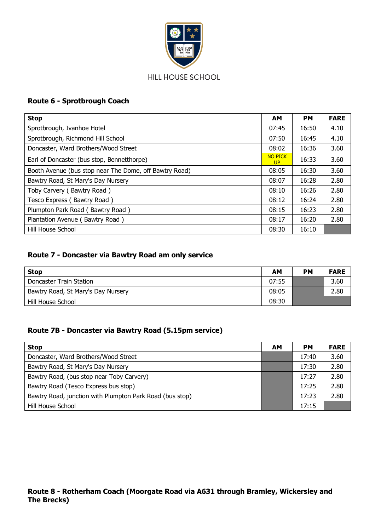

# **Route 6 - Sprotbrough Coach**

| <b>Stop</b>                                            | <b>AM</b>                   | <b>PM</b> | <b>FARE</b> |
|--------------------------------------------------------|-----------------------------|-----------|-------------|
| Sprotbrough, Ivanhoe Hotel                             | 07:45                       | 16:50     | 4.10        |
| Sprotbrough, Richmond Hill School                      | 07:50                       | 16:45     | 4.10        |
| Doncaster, Ward Brothers/Wood Street                   | 08:02                       | 16:36     | 3.60        |
| Earl of Doncaster (bus stop, Bennetthorpe)             | <b>NO PICK</b><br><b>UP</b> | 16:33     | 3.60        |
| Booth Avenue (bus stop near The Dome, off Bawtry Road) | 08:05                       | 16:30     | 3.60        |
| Bawtry Road, St Mary's Day Nursery                     | 08:07                       | 16:28     | 2.80        |
| Toby Carvery (Bawtry Road)                             | 08:10                       | 16:26     | 2.80        |
| Tesco Express (Bawtry Road)                            | 08:12                       | 16:24     | 2.80        |
| Plumpton Park Road (Bawtry Road)                       | 08:15                       | 16:23     | 2.80        |
| Plantation Avenue ( Bawtry Road )                      | 08:17                       | 16:20     | 2.80        |
| Hill House School                                      | 08:30                       | 16:10     |             |

### **Route 7 - Doncaster via Bawtry Road am only service**

| <b>Stop</b>                        | ΑМ    | <b>PM</b> | <b>FARE</b> |
|------------------------------------|-------|-----------|-------------|
| Doncaster Train Station            | 07:55 |           | 3.60        |
| Bawtry Road, St Mary's Day Nursery | 08:05 |           | 2.80        |
| Hill House School                  | 08:30 |           |             |

# **Route 7B - Doncaster via Bawtry Road (5.15pm service)**

| <b>Stop</b>                                              | AM | PМ    | <b>FARE</b> |
|----------------------------------------------------------|----|-------|-------------|
| Doncaster, Ward Brothers/Wood Street                     |    | 17:40 | 3.60        |
| Bawtry Road, St Mary's Day Nursery                       |    | 17:30 | 2.80        |
| Bawtry Road, (bus stop near Toby Carvery)                |    | 17:27 | 2.80        |
| Bawtry Road (Tesco Express bus stop)                     |    | 17:25 | 2.80        |
| Bawtry Road, junction with Plumpton Park Road (bus stop) |    | 17:23 | 2.80        |
| Hill House School                                        |    | 17:15 |             |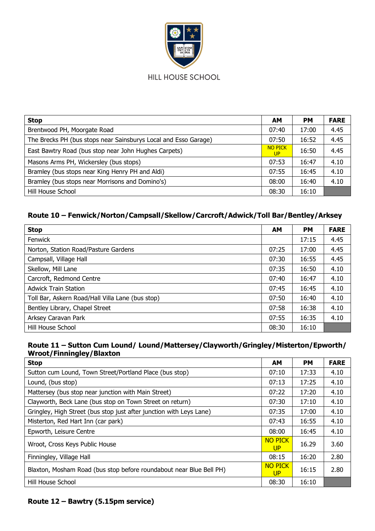

| <b>Stop</b>                                                     | AM                          | <b>PM</b> | <b>FARE</b> |
|-----------------------------------------------------------------|-----------------------------|-----------|-------------|
| Brentwood PH, Moorgate Road                                     | 07:40                       | 17:00     | 4.45        |
| The Brecks PH (bus stops near Sainsburys Local and Esso Garage) | 07:50                       | 16:52     | 4.45        |
| East Bawtry Road (bus stop near John Hughes Carpets)            | <b>NO PICK</b><br><b>UP</b> | 16:50     | 4.45        |
| Masons Arms PH, Wickersley (bus stops)                          | 07:53                       | 16:47     | 4.10        |
| Bramley (bus stops near King Henry PH and Aldi)                 | 07:55                       | 16:45     | 4.10        |
| Bramley (bus stops near Morrisons and Domino's)                 | 08:00                       | 16:40     | 4.10        |
| Hill House School                                               | 08:30                       | 16:10     |             |

# **Route 10 – Fenwick/Norton/Campsall/Skellow/Carcroft/Adwick/Toll Bar/Bentley/Arksey**

| <b>Stop</b>                                      | <b>AM</b> | <b>PM</b> | <b>FARE</b> |
|--------------------------------------------------|-----------|-----------|-------------|
| <b>Fenwick</b>                                   |           | 17:15     | 4.45        |
| Norton, Station Road/Pasture Gardens             | 07:25     | 17:00     | 4.45        |
| Campsall, Village Hall                           | 07:30     | 16:55     | 4.45        |
| Skellow, Mill Lane                               | 07:35     | 16:50     | 4.10        |
| Carcroft, Redmond Centre                         | 07:40     | 16:47     | 4.10        |
| <b>Adwick Train Station</b>                      | 07:45     | 16:45     | 4.10        |
| Toll Bar, Askern Road/Hall Villa Lane (bus stop) | 07:50     | 16:40     | 4.10        |
| Bentley Library, Chapel Street                   | 07:58     | 16:38     | 4.10        |
| Arksey Caravan Park                              | 07:55     | 16:35     | 4.10        |
| Hill House School                                | 08:30     | 16:10     |             |

#### **Route 11 – Sutton Cum Lound/ Lound/Mattersey/Clayworth/Gringley/Misterton/Epworth/ Wroot/Finningley/Blaxton**

| <b>Stop</b>                                                         | <b>AM</b>                   | <b>PM</b> | <b>FARE</b> |
|---------------------------------------------------------------------|-----------------------------|-----------|-------------|
| Sutton cum Lound, Town Street/Portland Place (bus stop)             | 07:10                       | 17:33     | 4.10        |
| Lound, (bus stop)                                                   | 07:13                       | 17:25     | 4.10        |
| Mattersey (bus stop near junction with Main Street)                 | 07:22                       | 17:20     | 4.10        |
| Clayworth, Beck Lane (bus stop on Town Street on return)            | 07:30                       | 17:10     | 4.10        |
| Gringley, High Street (bus stop just after junction with Leys Lane) | 07:35                       | 17:00     | 4.10        |
| Misterton, Red Hart Inn (car park)                                  | 07:43                       | 16:55     | 4.10        |
| Epworth, Leisure Centre                                             | 08:00                       | 16:45     | 4.10        |
| Wroot, Cross Keys Public House                                      | <b>NO PICK</b><br><b>UP</b> | 16.29     | 3.60        |
| Finningley, Village Hall                                            | 08:15                       | 16:20     | 2.80        |
| Blaxton, Mosham Road (bus stop before roundabout near Blue Bell PH) | <b>NO PICK</b><br>UP        | 16:15     | 2.80        |
| Hill House School                                                   | 08:30                       | 16:10     |             |